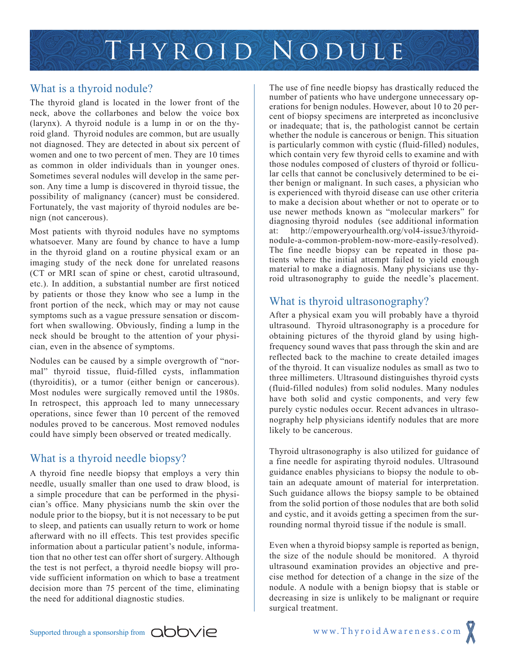

#### What is a thyroid nodule?

The thyroid gland is located in the lower front of the neck, above the collarbones and below the voice box (larynx). A thyroid nodule is a lump in or on the thyroid gland. Thyroid nodules are common, but are usually not diagnosed. They are detected in about six percent of women and one to two percent of men. They are 10 times as common in older individuals than in younger ones. Sometimes several nodules will develop in the same person. Any time a lump is discovered in thyroid tissue, the possibility of malignancy (cancer) must be considered. Fortunately, the vast majority of thyroid nodules are benign (not cancerous).

Most patients with thyroid nodules have no symptoms whatsoever. Many are found by chance to have a lump in the thyroid gland on a routine physical exam or an imaging study of the neck done for unrelated reasons (CT or MRI scan of spine or chest, carotid ultrasound, etc.). In addition, a substantial number are first noticed by patients or those they know who see a lump in the front portion of the neck, which may or may not cause symptoms such as a vague pressure sensation or discomfort when swallowing. Obviously, finding a lump in the neck should be brought to the attention of your physician, even in the absence of symptoms.

Nodules can be caused by a simple overgrowth of "normal" thyroid tissue, fluid-filled cysts, inflammation (thyroiditis), or a tumor (either benign or cancerous). Most nodules were surgically removed until the 1980s. In retrospect, this approach led to many unnecessary operations, since fewer than 10 percent of the removed nodules proved to be cancerous. Most removed nodules could have simply been observed or treated medically.

# What is a thyroid needle biopsy?

A thyroid fine needle biopsy that employs a very thin needle, usually smaller than one used to draw blood, is a simple procedure that can be performed in the physician's office. Many physicians numb the skin over the nodule prior to the biopsy, but it is not necessary to be put to sleep, and patients can usually return to work or home afterward with no ill effects. This test provides specific information about a particular patient's nodule, information that no other test can offer short of surgery. Although the test is not perfect, a thyroid needle biopsy will provide sufficient information on which to base a treatment decision more than 75 percent of the time, eliminating the need for additional diagnostic studies.

The use of fine needle biopsy has drastically reduced the number of patients who have undergone unnecessary operations for benign nodules. However, about 10 to 20 percent of biopsy specimens are interpreted as inconclusive or inadequate; that is, the pathologist cannot be certain whether the nodule is cancerous or benign. This situation is particularly common with cystic (fluid-filled) nodules, which contain very few thyroid cells to examine and with those nodules composed of clusters of thyroid or follicular cells that cannot be conclusively determined to be either benign or malignant. In such cases, a physician who is experienced with thyroid disease can use other criteria to make a decision about whether or not to operate or to use newer methods known as "molecular markers" for diagnosing thyroid nodules (see additional information at: http://empoweryourhealth.org/vol4-issue3/thyroidnodule-a-common-problem-now-more-easily-resolved). The fine needle biopsy can be repeated in those patients where the initial attempt failed to yield enough material to make a diagnosis. Many physicians use thyroid ultrasonography to guide the needle's placement.

# What is thyroid ultrasonography?

After a physical exam you will probably have a thyroid ultrasound. Thyroid ultrasonography is a procedure for obtaining pictures of the thyroid gland by using highfrequency sound waves that pass through the skin and are reflected back to the machine to create detailed images of the thyroid. It can visualize nodules as small as two to three millimeters. Ultrasound distinguishes thyroid cysts (fluid-filled nodules) from solid nodules. Many nodules have both solid and cystic components, and very few purely cystic nodules occur. Recent advances in ultrasonography help physicians identify nodules that are more likely to be cancerous.

Thyroid ultrasonography is also utilized for guidance of a fine needle for aspirating thyroid nodules. Ultrasound guidance enables physicians to biopsy the nodule to obtain an adequate amount of material for interpretation. Such guidance allows the biopsy sample to be obtained from the solid portion of those nodules that are both solid and cystic, and it avoids getting a specimen from the surrounding normal thyroid tissue if the nodule is small.

Even when a thyroid biopsy sample is reported as benign, the size of the nodule should be monitored. A thyroid ultrasound examination provides an objective and precise method for detection of a change in the size of the nodule. A nodule with a benign biopsy that is stable or decreasing in size is unlikely to be malignant or require surgical treatment.